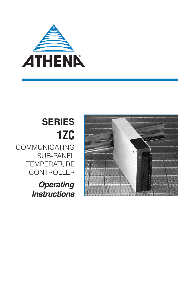

# **SERIES 1ZC** COMMUNICATING

SUB-PANEL **TEMPERATURE CONTROLLER** 

> **Operating Instructions**

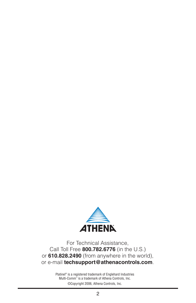

For Technical Assistance, Call Toll Free **800.782.6776** (in the U.S.) or **610.828.2490** (from anywhere in the world), or e-mail **techsupport@athenacontrols.com**.

> Platinel® is a registered trademark of Englehard Industries Multi-Comm™ is a trademark of Athena Controls, Inc. ©Copyright 2006, Athena Controls, Inc.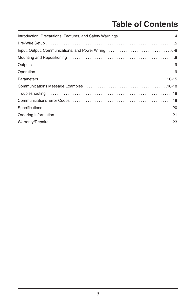# **Table of Contents**

| Introduction, Precautions, Features, and Safety Warnings 4 |
|------------------------------------------------------------|
|                                                            |
|                                                            |
|                                                            |
|                                                            |
|                                                            |
|                                                            |
|                                                            |
|                                                            |
|                                                            |
|                                                            |
|                                                            |
|                                                            |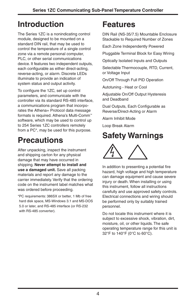# **Introduction**

The Series 1ZC is a nonindicating control module, designed to be mounted on a standard DIN rail, that may be used to control the temperature of a single control zone via a remote personal computer, PLC, or other serial communications device. It features two independent outputs, each configurable as either direct-acting, reverse-acting, or alarm. Discrete LEDs illuminate to provide an indication of system status and output activity.

To configure the 1ZC, set up control parameters, and communicate with the controller via its standard RS-485 interface, a communications program that incorporates the Athena+ Protocol data message formats is required. Athena's Multi-Comm™ software, which may be used to control up to 254 Series 1ZC controllers remotely from a PC\*, may be used for this purpose.

# **Precautions**

After unpacking, inspect the instrument and shipping carton for any physical damage that may have occurred in shipping. **Never attempt to install and use a damaged unit.** Save all packing materials and report any damage to the carrier immediately. Verify that the ordering code on the instrument label matches what was ordered before proceeding.

\*PC requirements: 386SX or better, 1 Mb of free hard disk space, MS-Windows 3.1 and MS-DOS 5.0 or later, and RS-485 interface (or RS-232 with RS-485 converter).

# **Features**

DIN Rail (NS-35/7.5) Mountable Enclosure Stackable to Required Number of Zones

Each Zone Independently Powered

Pluggable Terminal Block for Easy Wiring

Optically Isolated Inputs and Outputs

Selectable Thermocouple, RTD, Current, or Voltage Input

On/Off Through Full PID Operation

Autotuning - Heat or Cool

Adjustable On/Off Output Hysteresis and Deadband

Dual Outputs, Each Configurable as Reverse/Direct-Acting or Alarm

Alarm Inhibit Mode

Loop Break Alarm

# **Safety Warnings**



In addition to presenting a potential fire hazard, high voltage and high temperature can damage equipment and cause severe injury or death. When installing or using this instrument, follow all instructions carefully and use approved safety controls. Electrical connections and wiring should be performed only by suitably trained personnel.

Do not locate this instrument where it is subject to excessive shock, vibration, dirt, moisture, oil, or other liquids. The safe operating temperature range for this unit is 32°F to 140°F (0°C to 60°C).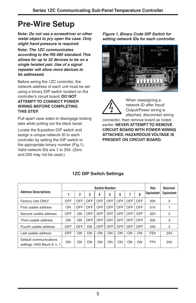# **Pre-Wire Setup**

**Note: Do not use a screwdriver or other metal object to pry open the case. Only slight hand pressure is required.**

**Note: The 1ZC communicates according to the RS-485 standard.This allows for up to 32 devices to be on a single twisted pair. Use of a signal repeater will allow more devices to be addressed.**

Before wiring the 1ZC controller, the network address of each unit must be set using a binary DIP switch located on the controller's circuit board. **DO NOT ATTEMPT TO CONNECT POWER WIRING BEFORE COMPLETING THIS STEP.**

Pull apart case sides to disengage locking tabs while pulling out the black bezel.

Locate the 8-position DIP switch and assign a unique network ID to each controller by setting the DIP switch to the appropriate binary number (Fig.1). Valid network IDs are 1 to 254. (Zero and 255 may not be used.)

**Figure 1. Binary Code DIP Switch for setting network IDs for each controller.**





When reassigning a network ID after Input/ Output/Power wiring is attached, disconnect wiring

connector, then remove board as noted earlier. **NEVER ATTEMPT TO REMOVE CIRCUIT BOARD WITH POWER WIRING ATTACHED. HAZARDOUS VOLTAGE IS PRESENT ON CIRCUIT BOARD.**

|                                                        | <b>Switch Number</b> |            |            |            |            |            |            |            | Hex               | Decimal           |
|--------------------------------------------------------|----------------------|------------|------------|------------|------------|------------|------------|------------|-------------------|-------------------|
| <b>Address Descriptions</b>                            |                      | 2          | 3          | 4          | 5          | 6          | 7          | 8          | <b>Equivalent</b> | <b>Equivalent</b> |
| <b>Factory Use ONLY</b>                                | OFF                  | OFF        | OFF        | OFF        | <b>OFF</b> | OFF        | OFF        | OFF        | 00h               | $\mathbf 0$       |
| First usable address                                   | ON                   | OFF        | OFF        | OFF        | <b>OFF</b> | OFF        | <b>OFF</b> | OFF        | 01h               |                   |
| Second usable address                                  | OFF                  | ON         | <b>OFF</b> | <b>OFF</b> | <b>OFF</b> | <b>OFF</b> | <b>OFF</b> | <b>OFF</b> | 02h               | $\overline{2}$    |
| Third usable address                                   | ON                   | ON         | <b>OFF</b> | <b>OFF</b> | <b>OFF</b> | <b>OFF</b> | OFF        | <b>OFF</b> | 03h               | 3                 |
| Fourth usable address                                  | OFF                  | <b>OFF</b> | ON         | <b>OFF</b> | <b>OFF</b> | <b>OFF</b> | <b>OFF</b> | <b>OFF</b> | 04h               | 4                 |
| Last usable address                                    | OFF                  | ON         | ON         | ON         | ON         | ON         | ON         | ON         | FEh               | 254               |
| Default communications<br>settings: 2400 Baud; 8, n, 1 | ON                   | ON         | ON         | ON         | ON         | ON         | ON         | ON         | <b>FFh</b>        | 255               |

### **1ZC DIP Switch Settings**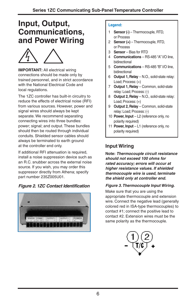## **Input, Output, Communications, and Power Wiring**



**IMPORTANT:** All electrical wiring connections should be made only by trained personnel, and in strict accordance with the National Electrical Code and local regulations.

The 1ZC controller has built-in circuitry to reduce the effects of electrical noise (RFI) from various sources. However, power and signal wires should always be kept separate. We recommend separating connecting wires into three bundles: power; signal; and output. These bundles should then be routed through individual conduits. Shielded sensor cables should always be terminated to earth ground at the controller end only.

If additional RFI attenuation is required, install a noise suppression device such as an R.C. snubber across the external noise source. If you wish, you may order this suppressor directly from Athena; specify part number 235Z005U01.

### **Figure 2. 1ZC Contact Identification**



#### **Legend:**

- 1 **Sensor (-)** Thermocouple, RTD, or Process
- 2 **Sensor (+)** Thermocouple, RTD, or Process
- 3 **Sensor**  Bias for RTD
- 4 **Communications** RS-485 "A" I/O line, bidirectional
- 5 **Communications** RS-485 "B" I/O line, bidirectional
- 6 **Output 1, Relay**  N.O., solid-state relay: Load; Process: (+)
- 7 **Output 1, Relay**  Common, solid-state relay: Load; Process: (-)
- 8 **Output 2, Relay** N.O., solid-state relay: Load; Process: (+)
- 9 **Output 2, Relay** Common, solid-state relay: Load; Process: (-)
- 10 **Power, Input** L2 (reference only, no polarity required)
- 11 **Power, Input** L1 (reference only, no polarity required)

### **Input Wiring**

**Note: Thermocouple circuit resistance should not exceed 100 ohms for rated accuracy; errors will occur at higher resistance values. If shielded thermocouple wire is used, terminate the shield only at controller end.**

#### **Figure 3.Thermocouple Input Wiring.**

Make sure that you are using the appropriate thermocouple and extension wire. Connect the negative lead (generally colored red in ISA-type thermocouples) to contact #1; connect the positive lead to contact #2. Extension wires must be the same polarity as the thermocouple.

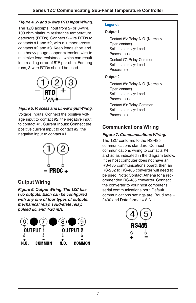### **Figure 4. 2- and 3-Wire RTD Input Wiring.**

The 1ZC accepts input from 2- or 3-wire, 100 ohm platinum resistance temperature detectors (RTDs). Connect 2-wire RTDs to contacts #1 and #2, with a jumper across contacts #2 and #3. Keep leads short and use heavy gauge copper extension wire to minimize lead resistance, which can result in a reading error of 5°F per ohm. For long runs, 3-wire RTDs should be used.



### **Figure 5. Process and Linear Input Wiring.**

Voltage Inputs: Connect the positive voltage input to contact #2; the negative input to contact #1. Current Inputs: Connect the positive current input to contact #2; the negative input to contact #1.



### **Output Wiring**

**Figure 6. Output Wiring.The 1ZC has two outputs. Each can be configured with any one of four types of outputs: mechanical relay, solid-state relay, pulsed dc, and 4-20 mA.**



#### **Legend:**

#### **Output 1**

Contact #6: Relay-N.O. (Normally Open contact) Solid-state relay: Load Process: (+) Contact #7: Relay-Common Solid-state relay: Load Process: (-)

#### **Output 2**

Contact #8: Relay-N.O. (Normally Open contact) Solid-state relay: Load Process: (+) Contact #9: Relay-Common Solid-state relay: Load Process: (-)

### **Communications Wiring**

#### **Figure 7. Communications Wiring.**

The 1ZC conforms to the RS-485 communications standard. Connect communications wiring to contacts #4 and #5 as indicated in the diagram below. If the host computer does not have an RS-485 communications board, then an RS-232 to RS-485 converter will need to be used. Note: Contact Athena for a recommended RS-485 converter. Connect the converter to your host computer's serial communications port. Default communications settings are: Baud rate = 2400 and Data format  $= 8-N-1$ .

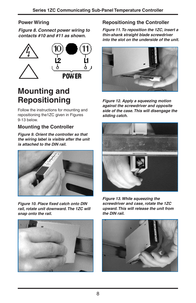### **Power Wiring**

**Figure 8. Connect power wiring to contacts #10 and #11 as shown.**



# **Mounting and Repositioning**

Follow the instructions for mounting and repositioning the1ZC given in Figures 9-13 below.

### **Mounting the Controller**

**Figure 9. Orient the controller so that the wiring label is visible after the unit is attached to the DIN rail.**



**Figure 10. Place fixed catch onto DIN rail, rotate unit downward.The 1ZC will snap onto the rail.**



### **Repositioning the Controller**

**Figure 11.To reposition the 1ZC, insert a thin-shank straight blade screwdriver into the slot on the underside of the unit.**



**Figure 12. Apply a squeezing motion against the screwdriver and opposite side of the case.This will disengage the sliding catch.**



**Figure 13. While squeezing the screwdriver and case, rotate the 1ZC upward.This will release the unit from the DIN rail.**

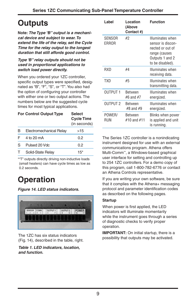# **Outputs**

**Note: The Type "B" output is a mechanical device and subject to wear.To extend the life of the relay, set the Cycle Time for the relay output to the longest duration that still affords good control.**

#### **Type "B" relay outputs should not be used in proportional applications to switch load power directly.**

When you ordered your 1ZC controller, specific output types were specified, designated as "B", "F", "S", or "T".You also had the option of configuring your controller with either one or two output actions. The numbers below are the suggested cycle times for most typical applications.

|   | <b>For Control Output Type</b> | <b>Select</b><br><b>Cycle Time</b><br>(in seconds) |
|---|--------------------------------|----------------------------------------------------|
| B | Electromechanical Relay        | >15                                                |
| F | 4 to 20 mA                     | 0.2                                                |
| S | Pulsed 20 Vdc                  | 0.2                                                |
|   | Solid-State Relay              | $15*$                                              |

\*"T" outputs directly driving non-inductive loads (small heaters) can have cycle times as low as 0.2 seconds.

# **Operation**

**Figure 14. LED status indicators.**



(Fig. 14), described in the table, right.

**Table 1. LED indicators, location, and function.**

| Label           | Location<br>(Above<br>Contact #) | <b>Function</b>                                                                                                   |
|-----------------|----------------------------------|-------------------------------------------------------------------------------------------------------------------|
| SENSOR<br>ERROR | #2                               | Illuminates when<br>sensor is discon-<br>nected or out of<br>range (causes<br>Outputs 1 and 2<br>to be disabled). |
| RXD             | #4                               | Illuminates when<br>receiving data.                                                                               |
| TXD             | #5                               | Illuminates when<br>transmitting data.                                                                            |
| OUTPUT 1        | <b>Between</b><br>$#6$ and $#7$  | Illuminates when<br>energized.                                                                                    |
| OUTPUT 2        | <b>Between</b><br>#8 and #9      | Illuminates when<br>energized.                                                                                    |
| POWER/<br>RUN   | <b>Between</b><br>#10 and #11    | Blinks when power<br>is applied and unit<br>is running.                                                           |

The Series 1ZC controller is a nonindicating instrument designed for use with an external communications program. Athena offers Multi-Comm™, a Windows-based graphical user interface for setting and controlling up to 254 1ZC controllers. For a demo copy of this program, call 1-800-782-6776 or contact an Athena Controls representative.

If you are writing your own software, be sure that it complies with the Athena+ messaging protocol and parameter identification codes as described on the following pages.

### **Startup**

When power is first applied, the LED indicators will illuminate momentarily while the instrument goes through a series of diagnostic checks to verify proper operation.

**IMPORTANT:** On initial startup, there is a The 1ZC has six status indicators<br>possibility that outputs may be activated.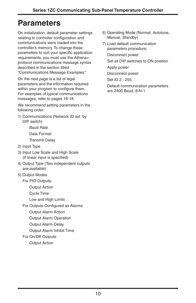# **Parameters**

On initialization, default parameter settings relating to controller configuration and communications were loaded into the controller's memory. To change these parameters to suit your specific application requirements, you must use the Athena+ protocol communications message syntax described in the section titled "Communications Message Examples."

On the next page is a list of legal parameters and the information required within your program to configure them. For examples of typical communications messages, refer to pages 16-18.

We recommend setting parameters in the following order:

1) Communications (Network ID set by DIP switch)

> Baud Rate Data Format Transmit Delay

- 2) Input Type
- 3) Input Low Scale and High Scale (if linear input is specified)
- 4) Output Type (Two independent outputs are available)
- 5) Output Modes
	- For PID Outputs:

Output Action

Cycle Time

- Low and High Limits
- For Outputs Configured as Alarms:

Output Alarm Action

- Output Alarm Operation
- Output Alarm Delay
- Output Alarm Inhibit Time

#### For On/Off Outputs:

Output Action

- 6) Operating Mode (Normal, Autotune, Manual, Standby)
- 7) Load default communication parameters procedure:

Disconnect power

Set all DIP switches to ON position

Apply power

Disconnect power

Set ID 2 - 255

Default communication parameters are 2400 Baud, 8-N-1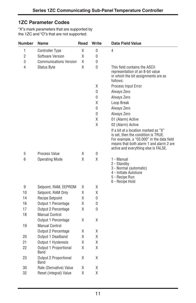### **1ZC Parameter Codes**

"X"s mark parameters that are supported by the 1ZC and "O"s that are not supported.

| <b>Number</b>  | Name                          | Read | Write        | <b>Data Field Value</b>                                                                                                                                                                                     |
|----------------|-------------------------------|------|--------------|-------------------------------------------------------------------------------------------------------------------------------------------------------------------------------------------------------------|
| 1              | <b>Controller Type</b>        | Χ    | 0            | 4                                                                                                                                                                                                           |
| $\overline{2}$ | Software Version              | Χ    | 0            |                                                                                                                                                                                                             |
| 3              | <b>Communications Version</b> | Χ    | 0            |                                                                                                                                                                                                             |
| 4              | Status Byte                   | Χ    | 0            | This field contains the ASCII<br>representation of an 8-bit value<br>in which the bit assignments are as<br>follows:                                                                                        |
|                |                               |      | Χ            | Process Input Error                                                                                                                                                                                         |
|                |                               |      | 0            | Always Zero                                                                                                                                                                                                 |
|                |                               |      | 0            | Always Zero                                                                                                                                                                                                 |
|                |                               |      | Χ            | Loop Break                                                                                                                                                                                                  |
|                |                               |      | 0            | Always Zero                                                                                                                                                                                                 |
|                |                               |      | 0            | Always Zero                                                                                                                                                                                                 |
|                |                               |      | Χ            | 01 (Alarm) Active                                                                                                                                                                                           |
|                |                               |      | Χ            | 02 (Alarm) Active                                                                                                                                                                                           |
|                |                               |      |              | If a bit at a location marked as "X"<br>is set, then the condition is TRUE.<br>For example, a "03.000" in the data field<br>means that both alarm 1 and alarm 2 are<br>active and everything else is FALSE. |
| 5              | <b>Process Value</b>          | Χ    | 0            |                                                                                                                                                                                                             |
| 6              | <b>Operating Mode</b>         | Χ    | χ            | 1 - Manual<br>2 - Standby<br>3 - Normal (automatic)<br>4 - Initiate Autotune<br>5 - Recipe Run<br>6 - Recipe Hold                                                                                           |
| 9              | Setpoint, RAM, EEPROM         | Χ    | Χ            |                                                                                                                                                                                                             |
| 10             | Setpoint, RAM Only            | Χ    | Χ            |                                                                                                                                                                                                             |
| 14             | <b>Recipe Setpoint</b>        | Χ    | 0            |                                                                                                                                                                                                             |
| 16             | Output 1 Percentage           | Χ    | 0            |                                                                                                                                                                                                             |
| 17             | <b>Output 2 Percentage</b>    | Χ    | $\mathbf{0}$ |                                                                                                                                                                                                             |
| 18             | <b>Manual Control</b>         |      |              |                                                                                                                                                                                                             |
|                | Output 1 Percentage           | Χ    | Χ            |                                                                                                                                                                                                             |
| 19             | <b>Manual Control</b>         |      |              |                                                                                                                                                                                                             |
|                | <b>Output 2 Percentage</b>    | Χ    | χ            |                                                                                                                                                                                                             |
| 20             | Output 1 Deadband             | Χ    | χ            |                                                                                                                                                                                                             |
| 21             | Output 1 Hysteresis           | Χ    | Χ            |                                                                                                                                                                                                             |
| 22             | Output 1 Proportional<br>Band | Χ    | Χ            |                                                                                                                                                                                                             |
| 23             | Output 2 Proportional<br>Band | Χ    | Χ            |                                                                                                                                                                                                             |
| 30             | Rate (Derivative) Value       | Χ    | Χ            |                                                                                                                                                                                                             |
| 32             | Reset (Integral) Value        | Χ    | Χ            |                                                                                                                                                                                                             |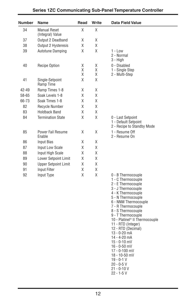| <b>Number</b> | Name                                    | Read        | Write       | <b>Data Field Value</b>                                                                                                                                                                                                                                                                                                                                                                                                                                            |
|---------------|-----------------------------------------|-------------|-------------|--------------------------------------------------------------------------------------------------------------------------------------------------------------------------------------------------------------------------------------------------------------------------------------------------------------------------------------------------------------------------------------------------------------------------------------------------------------------|
| 34            | <b>Manual Reset</b><br>(Integral) Value | χ           | Χ           |                                                                                                                                                                                                                                                                                                                                                                                                                                                                    |
| 37            | Output 2 Deadband                       | Χ           | Χ           |                                                                                                                                                                                                                                                                                                                                                                                                                                                                    |
| 38            | Output 2 Hysteresis                     | χ           | Χ           |                                                                                                                                                                                                                                                                                                                                                                                                                                                                    |
| 39            | Autotune Damping                        | Χ           | Χ           | $1 - Low$<br>2 - Normal<br>$3 - High$                                                                                                                                                                                                                                                                                                                                                                                                                              |
| 40            | <b>Recipe Option</b>                    | Χ<br>Χ<br>χ | Χ<br>χ<br>χ | 0 - Disabled<br>1 - Single Step<br>2 - Multi-Step                                                                                                                                                                                                                                                                                                                                                                                                                  |
| 41            | Single-Setpoint<br>Ramp Time            | X           | χ           |                                                                                                                                                                                                                                                                                                                                                                                                                                                                    |
| 42-49         | Ramp Times 1-8                          | Χ           | Χ           |                                                                                                                                                                                                                                                                                                                                                                                                                                                                    |
| 58-65         | Soak Levels 1-8                         | Χ           | Χ           |                                                                                                                                                                                                                                                                                                                                                                                                                                                                    |
| 66-73         | Soak Times 1-8                          | X           | χ           |                                                                                                                                                                                                                                                                                                                                                                                                                                                                    |
| 82            | Recycle Number                          | χ           | χ           |                                                                                                                                                                                                                                                                                                                                                                                                                                                                    |
| 83            | <b>Holdback Band</b>                    | X           | Χ           |                                                                                                                                                                                                                                                                                                                                                                                                                                                                    |
| 84            | <b>Termination State</b>                | Χ           | Χ           | 0 - Last Setpoint<br>1 - Default Setpoint<br>2 - Recipe to Standby Mode                                                                                                                                                                                                                                                                                                                                                                                            |
| 85            | Power Fail Resume<br>Enable             | Χ           | Χ           | 1 - Resume Off<br>2 - Resume On                                                                                                                                                                                                                                                                                                                                                                                                                                    |
| 86            | <b>Input Bias</b>                       | Χ           | Χ           |                                                                                                                                                                                                                                                                                                                                                                                                                                                                    |
| 87            | Input Low Scale                         | Χ           | Χ           |                                                                                                                                                                                                                                                                                                                                                                                                                                                                    |
| 88            | Input High Scale                        | Χ           | Χ           |                                                                                                                                                                                                                                                                                                                                                                                                                                                                    |
| 89            | Lower Setpoint Limit                    | Χ           | Χ           |                                                                                                                                                                                                                                                                                                                                                                                                                                                                    |
| 90            | <b>Upper Setpoint Limit</b>             | χ           | Χ           |                                                                                                                                                                                                                                                                                                                                                                                                                                                                    |
| 91            | <b>Input Filter</b>                     | Χ           | Χ           |                                                                                                                                                                                                                                                                                                                                                                                                                                                                    |
| 92            | Input Type                              | Χ           | Χ           | 0 - B Thermocouple<br>1 - C Thermocouple<br>2 - E Thermocouple<br>3 - J Thermocouple<br>4 - K Thermocouple<br>5 - N Thermocouple<br>6 - NNM Thermocouple<br>7 - R Thermocouple<br>8 - S Thermocouple<br>9 - T Thermocouple<br>10 - Platinel <sup>®</sup> II Thermocouple<br>11 - RTD (Integer)<br>12 - RTD (Decimal)<br>$13 - 0 - 20$ mA<br>14 - 4-20 mA<br>$15 - 0 - 10$ mV<br>$16 - 0 - 50$ mV<br>17 - 0-100 mV<br>18 - 10-50 mV<br>$19 - 0 - 1$ V<br>20 - 0-5 V |

21 - 0-10 V 22 - 1-5 V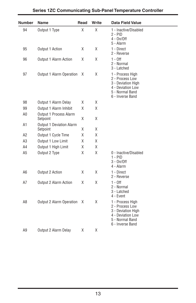| <b>Number</b>  | Name                                 | Read | Write | <b>Data Field Value</b>                                                                                               |
|----------------|--------------------------------------|------|-------|-----------------------------------------------------------------------------------------------------------------------|
| 94             | Output 1 Type                        | χ    | Χ     | 1 - Inactive/Disabled<br>$2 - PID$<br>$4 - On/Off$<br>5 - Alarm                                                       |
| 95             | Output 1 Action                      | Χ    | X     | 1 - Direct<br>2 - Reverse                                                                                             |
| 96             | Output 1 Alarm Action                | Χ    | X     | $1 - 0$ ff<br>2 - Normal<br>3 - Latched                                                                               |
| 97             | Output 1 Alarm Operation             | Χ    | Χ     | 1 - Process High<br>2 - Process Low<br>3 - Deviation High<br>4 - Deviation Low<br>5 - Normal Band<br>6 - Inverse Band |
| 98             | Output 1 Alarm Delay                 | Χ    | Χ     |                                                                                                                       |
| 99             | Output 1 Alarm Inhibit               | χ    | Χ     |                                                                                                                       |
| A0             | Output 1 Process Alarm<br>Setpoint   | χ    | X     |                                                                                                                       |
| A1             | Output 1 Deviation Alarm<br>Setpoint | Χ    | X     |                                                                                                                       |
| Α2             | Output 1 Cycle Time                  | Χ    | Χ     |                                                                                                                       |
| A <sub>3</sub> | Output 1 Low Limit                   | Χ    | Χ     |                                                                                                                       |
| A4             | Output 1 High Limit                  | Χ    | Χ     |                                                                                                                       |
| A <sub>5</sub> | Output 2 Type                        | Χ    | Χ     | 0 - Inactive/Disabled<br>1 - PID<br>$3 - On/Off$<br>4 - Alarm                                                         |
| A6             | Output 2 Action                      | X    | X     | 1 - Direct<br>2 - Reverse                                                                                             |
| Α7             | <b>Output 2 Alarm Action</b>         | Χ    | X     | $1 - 0$ ff<br>2 - Normal<br>3 - Latched<br>4 - Event                                                                  |
| A8             | <b>Output 2 Alarm Operation</b>      | X    | X     | 1 - Process High<br>2 - Process Low<br>3 - Deviation High<br>4 - Deviation Low<br>5 - Normal Band<br>6 - Inverse Band |
| A9             | Output 2 Alarm Delay                 | Χ    | X     |                                                                                                                       |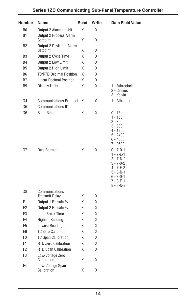| Number         | Name                                        | Read   | Write  | <b>Data Field Value</b>                                                                                                                                           |
|----------------|---------------------------------------------|--------|--------|-------------------------------------------------------------------------------------------------------------------------------------------------------------------|
| B <sub>0</sub> | Output 2 Alarm Inhibit                      | Χ      | χ      |                                                                                                                                                                   |
| <b>B1</b>      | Output 2 Process Alarm<br>Setpoint          | Χ      | χ      |                                                                                                                                                                   |
| B <sub>2</sub> | <b>Output 2 Deviation Alarm</b><br>Setpoint | Χ      | Χ      |                                                                                                                                                                   |
| B <sub>3</sub> | Output 2 Cycle Time                         | Χ      | χ      |                                                                                                                                                                   |
| B4             | Output 2 Low Limit                          | Χ      | Χ      |                                                                                                                                                                   |
| B <sub>5</sub> | Output 2 High Limit                         | Χ      | χ      |                                                                                                                                                                   |
| B <sub>6</sub> | <b>TC/RTD Decimal Position</b>              | X      | χ      |                                                                                                                                                                   |
| <b>B7</b>      | <b>Linear Decimal Position</b>              | χ      | χ      |                                                                                                                                                                   |
| B <sub>9</sub> | <b>Display Units</b>                        | Χ      | Χ      | 1 - Fahrenheit<br>2 - Celsius<br>3 - Kelvin                                                                                                                       |
| D4             | <b>Communications Protocol</b>              | X      | 0      | $1 -$ Athena +                                                                                                                                                    |
| D <sub>5</sub> | <b>Communications ID</b>                    |        |        |                                                                                                                                                                   |
| D <sub>6</sub> | <b>Baud Rate</b>                            | Χ      | Χ      | $0 - 75$<br>$1 - 150$<br>$2 - 300$<br>$3 - 600$<br>$4 - 1200$<br>$5 - 2400$<br>$6 - 4800$<br>7 - 9600                                                             |
| D7             | Data Format                                 | Χ      | Χ      | $0 - 7 - 0 - 1$<br>$1 - 7 - E - 1$<br>$2 - 7 - N - 2$<br>$3 - 7 - 0 - 2$<br>4 - 7-E-2<br>$5 - 8 - N - 1$<br>$6 - 8 - 0 - 1$<br>$7 - 8 - E - 1$<br>$8 - 8 - N - 2$ |
| D <sub>8</sub> | Communications                              |        |        |                                                                                                                                                                   |
| E1             | <b>Transmit Delay</b>                       | χ<br>χ | χ<br>χ |                                                                                                                                                                   |
| E <sub>2</sub> | Output 1 Failsafe %<br>Output 2 Failsafe %  | Χ      | X      |                                                                                                                                                                   |
| E3             | Loop Break Time                             | χ      | Χ      |                                                                                                                                                                   |
| E4             | <b>Highest Reading</b>                      | χ      | χ      |                                                                                                                                                                   |
| E <sub>5</sub> | Lowest Reading                              | χ      | χ      |                                                                                                                                                                   |
| E9             | <b>TC Zero Calibration</b>                  | χ      | χ      |                                                                                                                                                                   |
| F <sub>0</sub> | <b>TC Span Calibration</b>                  | Χ      | Χ      |                                                                                                                                                                   |
| F1             | <b>RTD Zero Calibration</b>                 | χ      | χ      |                                                                                                                                                                   |
| F <sub>2</sub> | RTD Span Calibration                        | Χ      | χ      |                                                                                                                                                                   |
| F <sub>3</sub> | Low-Voltage Zero<br>Calibration             | Χ      | X      |                                                                                                                                                                   |
| F4             | Low-Voltage Span<br>Calibration             | χ      | Χ      |                                                                                                                                                                   |
|                |                                             |        |        |                                                                                                                                                                   |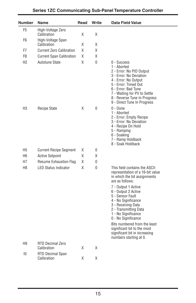| Number           | Name                                   | Read | Write | <b>Data Field Value</b>                                                                                                                                                                                                                                                                                                                                                                                                              |
|------------------|----------------------------------------|------|-------|--------------------------------------------------------------------------------------------------------------------------------------------------------------------------------------------------------------------------------------------------------------------------------------------------------------------------------------------------------------------------------------------------------------------------------------|
| F <sub>5</sub>   | High-Voltage Zero<br>Calibration       | Χ    | Χ     |                                                                                                                                                                                                                                                                                                                                                                                                                                      |
| F <sub>6</sub>   | High-Voltage Span                      |      |       |                                                                                                                                                                                                                                                                                                                                                                                                                                      |
|                  | Calibration                            | Χ    | Χ     |                                                                                                                                                                                                                                                                                                                                                                                                                                      |
| F7               | <b>Current Zero Calibration</b>        | χ    | Χ     |                                                                                                                                                                                                                                                                                                                                                                                                                                      |
| F8               | <b>Current Span Calibration</b>        | Χ    | Χ     |                                                                                                                                                                                                                                                                                                                                                                                                                                      |
| H <sub>2</sub>   | Autotune State                         | X    | 0     | $0 - Success$<br>1 - Aborted<br>2 - Error: No PID Output<br>3 - Error: No Deviation<br>4 - Error: No Output<br>5 - Error: Timed Out<br>6 - Error: Bad Tune<br>7 - Waiting for PV to Settle<br>8 - Reverse Tune In Progress<br>9 - Direct Tune In Progress                                                                                                                                                                            |
| H <sub>3</sub>   | <b>Recipe State</b>                    | χ    | 0     | $0 - Done$<br>1 - Aborted<br>2 - Error: Empty Recipe<br>3 - Error: No Deviation<br>4 - Recipe On Hold<br>5 - Ramping<br>6 - Soaking<br>7 - Ramp Holdback<br>8 - Soak Holdback                                                                                                                                                                                                                                                        |
| H <sub>5</sub>   | <b>Current Recipe Segment</b>          | Χ    | 0     |                                                                                                                                                                                                                                                                                                                                                                                                                                      |
| H <sub>6</sub>   | <b>Active Setpoint</b>                 | Χ    | Χ     |                                                                                                                                                                                                                                                                                                                                                                                                                                      |
| H7               | Resume Exhaustion Flag                 | Χ    | 0     |                                                                                                                                                                                                                                                                                                                                                                                                                                      |
| H <sub>8</sub>   | <b>LED Status Indicator</b>            | X    | 0     | This field contains the ASCII<br>representation of a 16-bit value<br>in which the bit assignments<br>are as follows:<br>7 - Output 1 Active<br>6 - Output 2 Active<br>5 - Sensor Fault<br>4 - No Significance<br>3 - Receiving Data<br>2 - Transmitting Data<br>1 - No Significance<br>0 - No Significance<br>Bits numbered from the least<br>significant bit to the most<br>significant bit in increasing<br>numbers starting at 0. |
| H <sub>9</sub>   | <b>RTD Decimal Zero</b><br>Calibration | Χ    | X     |                                                                                                                                                                                                                                                                                                                                                                                                                                      |
| 10 <sup>10</sup> | RTD Decimal Span<br>Calibration        | Χ    | Χ     |                                                                                                                                                                                                                                                                                                                                                                                                                                      |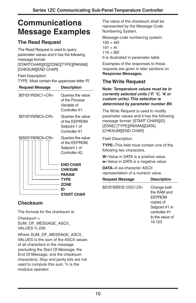# **Communications Message Examples**

## **The Read Request**

The Read Request is used to query parameter values and it has the following message format:

[STARTCHAR][ID][ZONE][TYPE][PARAM] [CHKSUM][END CHAR]

Field Description:

TYPE Must contain the uppercase letter 'R'.

| <b>Request Message</b> | <b>Description</b>                                                                                   |  |
|------------------------|------------------------------------------------------------------------------------------------------|--|
| \$Ø1Ø1RØ5C1 <cr></cr>  | Queries the value<br>of the Process<br>Variable of<br>Controller #1.                                 |  |
| \$Ø1Ø1RØ9C5 <cr></cr>  | Queries the value<br>of the EEPROM<br>Setpoint 1 of<br>Controller #1                                 |  |
| \$Ø2Ø1RØ9C6 <cr></cr>  | Queries the value<br>of the EEPROM<br>Setpoint 1 of<br>Controller #2.                                |  |
|                        | <b>END CHAR</b><br><b>CHKSUM</b><br><b>PARAM</b><br><b>TYPE</b><br><b>ZONE</b><br>ID<br>— START CHAR |  |

### **Checksum**

The formula for the checksum is:

Checksum = SUM\_OF\_MESSAGE\_ASCII VALUES % 256

Where SUM\_OF\_MESSAGE\_ASCII\_ VALUES Is the sum of the ASCII values of all characters in the message (excluding the Start Of Message, the End Of Message, and the checksum characters). Stop and parity bits are not used to compute this sum. % Is the modulus operator.

The value of the checksum shall be represented by the Message Code Numbering System.

Message code numbering system:  $100 = AQ$  $101 = AI$  $110 = BØ$ It is illustrated in parameter table.

Examples of the responses to these requests are given in later sections on **Response Messages.**

### **The Write Request**

#### **Note: Temperature values must be in currently selected units (°F, °C, °K or custom units).This selection is determined by parameter number B9.**

The Write Request is used to modify parameter values and it has the following message format: [START CHAR][ID] [ZONE] [TYPE][PARAM][DATA] [CHKSUM][END CHAR]

Field Description:

**TYPE–**This field must contain one of the following two characters.

**W–**Value in DATA is a positive value. **w–**Value in DATA is a negative value.

**DATA–**A six-character ASCII representation of a numeric value.

| <b>Request Message</b>      | <b>Description</b>                                                                                                       |
|-----------------------------|--------------------------------------------------------------------------------------------------------------------------|
| \$0101W0910.123G7 <cr></cr> | Change both<br>the RAM and<br><b>FFPROM</b><br>copies of<br>Setpoint #1 in<br>controller #1<br>to the value of<br>10.123 |
|                             |                                                                                                                          |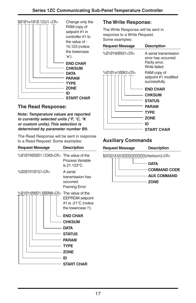

### **The Read Response:**

**Note: Temperature values are reported in currently selected units (°F, °C, °K or custom units).This selection is determined by parameter number B9.**

The Read Response will be sent in response to a Read Request. Some examples:

| <b>Request Message</b>                       | <b>Description</b>                                                                                                                                |
|----------------------------------------------|---------------------------------------------------------------------------------------------------------------------------------------------------|
| %0101R05021.123K8 <cr>The value of the</cr>  | Process Variable<br>is 21.123°C.                                                                                                                  |
| %0201R101G7 <cr></cr>                        | A serial<br>transmission has<br>occurred:<br><b>Framing Error</b>                                                                                 |
| %Ø1Ø1rØ9Ø21.ØØØN8 <cr> The value of the</cr> | <b>EEPROM</b> setpoint<br>#1 is -21°C (notice<br>the lowercase 'r').                                                                              |
|                                              | <b>END CHAR</b><br><b>CHKSUM</b><br><b>DATA</b><br><b>STATUS</b><br>- PARAM<br>$\overline{\phantom{a}}$ TYPE<br>- ZONE<br>ID<br><b>START CHAR</b> |

### **The Write Response:**

The Write Response will be sent in response to a Write Request. Some examples:

| <b>Request Message</b> | <b>Description</b>                                                                             |
|------------------------|------------------------------------------------------------------------------------------------|
| %Ø1Ø1WØ93I1 <cr></cr>  | A serial transmission<br>error has occurred:<br>Parity error.<br>Write failed.                 |
| %0101w100K2 <cr></cr>  | RAM copy of<br>setpoint #1 modified<br>successfully.                                           |
|                        | <b>END CHAR</b><br><b>CHKSUM</b><br><b>STATUS</b><br><b>PARAM</b><br>TYPE<br><b>ZONE</b><br>ID |
|                        | <b>START CHAR</b>                                                                              |

### **Auxiliary Commands**

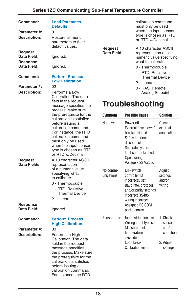| Command:<br>Parameter #:<br>Description:                                                                                       | <b>Load Parameter</b><br><b>Defaults</b><br>01<br>Restore all menu<br>parameters to their                                                                                                                                                                            |                            | calibration command<br>must only be used<br>when the input sensor<br>type is chosen as RTD<br>or RTD w/Decimal.                                                                                     |                                              |
|--------------------------------------------------------------------------------------------------------------------------------|----------------------------------------------------------------------------------------------------------------------------------------------------------------------------------------------------------------------------------------------------------------------|----------------------------|-----------------------------------------------------------------------------------------------------------------------------------------------------------------------------------------------------|----------------------------------------------|
| <b>Request</b><br>Data Field:<br>Response<br>Data Field:                                                                       | default values.<br>Ignored.<br>Ignored.                                                                                                                                                                                                                              | Request<br>Data Field:     | A 10 character ASCII<br>representation of a<br>numeric value specifying<br>what to calibrate.<br>0 - Thermocouple                                                                                   |                                              |
| Command:<br>Parameter #:                                                                                                       | <b>Perform Process</b><br><b>Low Calibration</b><br>02                                                                                                                                                                                                               |                            | 1 - RTD, Resistive<br><b>Thermal Device</b><br>2 - Linear                                                                                                                                           |                                              |
| Description:<br>Performs a Low<br>Calibration. The data<br>field in the request<br>message specifies the<br>process. Make sure | 3 - RAS, Remote<br>Analog Setpoint<br><b>Troubleshooting</b>                                                                                                                                                                                                         |                            |                                                                                                                                                                                                     |                                              |
| Request                                                                                                                        | the prerequisite for the<br>calibration is satisfied<br>before issuing a<br>calibration command.<br>For instance, the RTD<br>calibration command<br>must only be used<br>when the input sensor<br>type is chosen as RTD<br>or RTD w/Decimal.<br>A 10 character ASCII | <b>Symptom</b><br>No power | <b>Possible Cause</b><br>Power off<br>External fuse blown/<br>breaker tripped<br>Safety interlock<br>disconnected<br>Separate system<br>limit control latched<br>Open wiring                        | Solution<br>Check<br>external<br>connections |
| Data Fields:<br><b>Response</b><br>Data Field:                                                                                 | representation<br>of a numeric value<br>specifying what<br>to calibrate.<br>0 - Thermocouple<br>1 - RTD, Resistive<br><b>Thermal Device</b><br>2 - Linear<br>Ignored.                                                                                                | No comm-<br>unications     | Voltage < 22 Vac/dc<br>DIP-switch<br>controller ID<br>incorrectly set<br>Baud rate, protocol,<br>and/or parity settings<br>incorrect RS485<br>wiring incorrect<br>Assigned PC COM<br>port incorrect | Adjust<br>settings<br>and/or<br>wiring       |
| Command:                                                                                                                       | <b>Perform Process</b><br><b>High Calibration</b>                                                                                                                                                                                                                    | Sensor error               | Input wiring incorrect 1. Check<br>Wrong input type set                                                                                                                                             | sensor                                       |
| Parameter #:<br>Description:                                                                                                   | 03<br>Performs a High<br>Calibration. The data<br>field in the request<br>message specifies<br>the process. Make sure<br>the prerequisite for the<br>calibration is satisfied<br>before issuing a<br>calibration command.<br>For instance, the RTD                   |                            | Measurement<br>temperature<br>exceeded<br>Loop break<br><b>Calibration error</b>                                                                                                                    | and/or<br>condition<br>2. Adjust<br>settings |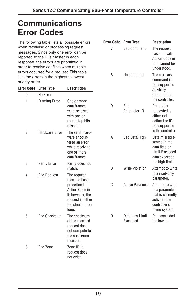**Error Code Error Type Description** 7 Bad Command The request

8 Unsupported The auxiliary

has an invalid Action Code in it. It cannot be understood.

command is

# **Communications Error Codes**

The following table lists all possible errors when receiving or processing request messages. Since only one error can be reported to the Bus Master in each response, the errors are prioritized in order to resolve conflicts when multiple errors occurred for a request. This table lists the errors in the highest to lowest priority order.

| privilly viu <del>c</del> i. |                              |                                                                                                      |   |                                   | not supported                                                                                                                       |
|------------------------------|------------------------------|------------------------------------------------------------------------------------------------------|---|-----------------------------------|-------------------------------------------------------------------------------------------------------------------------------------|
|                              | <b>Error Code Error Type</b> | <b>Description</b>                                                                                   |   |                                   | Auxiliary                                                                                                                           |
| $\mathbf{0}$                 | No Error                     |                                                                                                      |   |                                   | Command in<br>the controller.                                                                                                       |
| 1                            | <b>Framing Error</b>         | One or more<br>data frames<br>were received<br>with one or<br>more stop bits<br>missing.             | 9 | Bad<br>Parameter ID               | Parameter<br>requested is<br>either not<br>defined or it's<br>not supported                                                         |
| 2                            | Hardware Error               | The serial hard-<br>ware encoun-<br>tered an error<br>while receiving<br>one or more<br>data frames. | A | Bad Data/High                     | in the controller.<br>Data misrepre-<br>sented in the<br>data field or<br><b>Limit Exceeded</b><br>data exceeded<br>the high limit. |
| 3                            | Parity Error                 | Parity does not<br>match.                                                                            | B | <b>Write Violation</b>            | Attempt to write                                                                                                                    |
| 4                            | <b>Bad Request</b>           | The request<br>received has a                                                                        |   |                                   | to a read-only<br>parameter.                                                                                                        |
|                              |                              | predefined<br>Action Code in<br>it; however, the<br>request is either<br>too short or too<br>long.   | C | Active Parameter Attempt to write | to a parameter<br>that is currently<br>active in the<br>controller's<br>menu system.                                                |
| 5                            | <b>Bad Checksum</b>          | The checksum<br>of the received<br>request does<br>not compute to<br>the checksum<br>received.       | D | Data Low Limit<br>Exceeded        | Data exceeded<br>the low limit.                                                                                                     |
| 6                            | <b>Bad Zone</b>              | Zone ID in<br>request does<br>not exist.                                                             |   |                                   |                                                                                                                                     |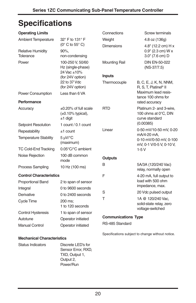# **Specifications**

| <b>Operating Limits</b>                   |                                                                     | Connections          | <b>Screw terminals</b>                                            |  |  |
|-------------------------------------------|---------------------------------------------------------------------|----------------------|-------------------------------------------------------------------|--|--|
| <b>Ambient Temperature</b>                | 32° F to 131° F                                                     | Weight               | 4.8 oz (136g)                                                     |  |  |
| <b>Relative Humidity</b><br>Tolerance     | $(0^{\circ}$ C to 55 $^{\circ}$ C)<br>$90\%$ .<br>non-condensing    | <b>Dimensions</b>    | 4.8" (12.2 cm) H x<br>$0.9"$ (2.3 cm) W x<br>3.0" (7.6 cm) D      |  |  |
| Power                                     | 100-250 V, 50/60<br>Hz (single-phase)<br>24 Vac ±10%                | <b>Mounting Rail</b> | <b>DIN EN-50-022</b><br>$(NS-37/7.5)$                             |  |  |
|                                           | (for 24V option)                                                    | <b>Inputs</b>        |                                                                   |  |  |
|                                           | 22 to 37 Vdc<br>(for 24V option)                                    | Thermocouple         | B, C, E, J, K, N, NNM,<br>R, S, T, Platinel <sup>®</sup> II       |  |  |
| Power Consumption                         | Less than 6 VA                                                      |                      | Maximum lead resis-<br>tance 100 ohms for                         |  |  |
| Performance                               |                                                                     |                      | rated accuracy                                                    |  |  |
| Accuracy                                  | $\pm 0.20\%$ of full scale<br>$(\pm 0.10\%$ typical),<br>$±1$ digit | <b>RTD</b>           | Platinum 2- and 3-wire,<br>100 ohms at 0°C, DIN<br>curve standard |  |  |
| Setpoint Resolution                       | 1 count / 0.1 count                                                 |                      | (0.00385)                                                         |  |  |
| Repeatability                             | $±1$ count                                                          | Linear               | 0-50 mV/10-50 mV, 0-20                                            |  |  |
| <b>Temperature Stability</b>              | 5 µV/°C<br>(maximum)                                                |                      | mA/4-20 mA,<br>0-10 mV/0-50 mV, 0-100<br>mV, 0-1 V/0-5 V, 0-10 V, |  |  |
| <b>TC Cold-End Tracking</b>               | 0.05°C/°C ambient                                                   |                      | $1-5V$                                                            |  |  |
| Noise Rejection                           | 100 dB common<br>mode                                               | <b>Outputs</b>       |                                                                   |  |  |
| <b>Process Sampling</b><br>10 Hz (100 ms) |                                                                     | B                    | 5A/3A (120/240 Vac)<br>relay, normally open                       |  |  |
| <b>Control Characteristics</b>            |                                                                     | F                    | 4-20 mA, full output to                                           |  |  |
| <b>Proportional Band</b>                  | 2 to span of sensor                                                 |                      | load with 500 ohm                                                 |  |  |
| Integral                                  | 0 to 9600 seconds                                                   |                      | impedance, max.                                                   |  |  |
| Derivative                                | 0 to 2400 seconds                                                   | S                    | 20 Vdc pulsed output                                              |  |  |
| Cycle Time                                | 200 ms;<br>1 to 120 seconds                                         | T                    | 1A @ 120/240 Vac.<br>solid-state relay, zero<br>voltage-switched  |  |  |
| <b>Control Hysteresis</b>                 | 1 to span of sensor                                                 |                      |                                                                   |  |  |
| Autotune                                  | Operator initiated                                                  |                      | <b>Communications Type</b>                                        |  |  |
| <b>Manual Control</b>                     | Operator initiated                                                  | RS-485 Standard      |                                                                   |  |  |
|                                           |                                                                     |                      | Specifications subject to change without notice.                  |  |  |

### **Mechanical Characteristics**

| Status Indicators | Discrete LED's for |
|-------------------|--------------------|
|                   | Sensor Error, RXD. |
|                   | TXD, Output 1,     |
|                   | Output 2,          |
|                   | Power/Run          |
|                   |                    |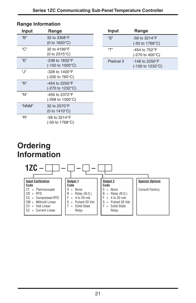### **Range Information**

| Input | Range                                                        |
|-------|--------------------------------------------------------------|
| "R"   | 32 to 3308°F<br>$(0 to 1820^{\circ}C)$                       |
| "C"   | 32 to 4199°F<br>(0 to $2315^{\circ}$ C)                      |
| "F"   | $-238$ to 1832°F<br>(-150 to 1000 $^{\circ}$ C)              |
| ".  " | $-328$ to 1400°F<br>(-200 to 760 $^{\circ}$ C)               |
| "K"   | -454 to 2250°F<br>(-270 to 1232°C)                           |
| "N"   | -450 to 2372°F<br>$(-268 \text{ to } 1300^{\circ} \text{C})$ |
| "NNM" | 32 to 2570°F<br>(0 to $1410^{\circ}$ C)                      |
| "R"   | -58 to 3214°F<br>(-50 to 1768°C)                             |

| Input              | Range                                     |
|--------------------|-------------------------------------------|
| "S"                | $-58$ to 3214 $\degree$ F                 |
|                    | $(-50 \text{ to } 1768^{\circ}\text{C})$  |
| "Т"                | -454 to $752^{\circ}$ F                   |
|                    | (-270 to 400°C)                           |
| <b>Platinel II</b> | $-148$ to 2250°F                          |
|                    | $(-100 \text{ to } 1232^{\circ}\text{C})$ |

# **Ordering Information**

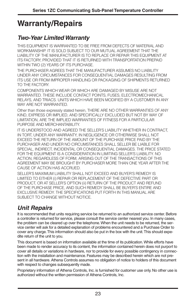# **Warranty/Repairs**

## **Two-Year Limited Warranty**

THIS EQUIPMENT IS WARRANTED TO BE FREE FROM DEFECTS OF MATERIAL AND WORKMANSHIP. IT IS SOLD SUBJECT TO OUR MUTUAL AGREEMENT THAT THE LIABILITY OF THE MANUFACTURER IS TO REPLACE OR REPAIR THIS EQUIPMENT AT ITS FACTORY, PROVIDED THAT IT IS RETURNED WITH TRANSPORTATION PREPAID WITHIN TWO (2) YEARS OF ITS PURCHASE.

THE PURCHASER AGREES THAT THE MANUFACTURER ASSUMES NO LIABILITY UNDER ANY CIRCUMSTANCES FOR CONSEQUENTIAL DAMAGES RESULTING FROM ITS USE OR FROM IMPROPER HANDLING OR PACKAGING OF SHIPMENTS RETURNED TO THE FACTORY.

COMPONENTS WHICH WEAR OR WHICH ARE DAMAGED BY MISUSE ARE NOT WARRANTED. THESE INCLUDE CONTACT POINTS, FUSES, ELECTROMECHANICAL RELAYS, AND TRIACS. UNITS WHICH HAVE BEEN MODIFIED BY A CUSTOMER IN ANY WAY ARE NOT WARRANTED.

Other than those expressly stated herein, THERE ARE NO OTHER WARRANTIES OF ANY KIND, EXPRESS OR IMPLIED, AND SPECIFICALLY EXCLUDED BUT NOT BY WAY OF LIMITATION, ARE THE IMPLIED WARRANTIES OF FITNESS FOR A PARTICULAR PURPOSE AND MERCHANTABILITY.

IT IS UNDERSTOOD AND AGREED THE SELLER'S LIABILITY WHETHER IN CONTRACT, IN TORT, UNDER ANY WARRANTY, IN NEGLIGENCE OR OTHERWISE SHALL NOT EXCEED THE RETURN OF THE AMOUNT OF THE PURCHASE PRICE PAID BY THE PURCHASER AND UNDER NO CIRCUMSTANCES SHALL SELLER BE LIABLE FOR SPECIAL, INDIRECT, INCIDENTAL OR CONSEQUENTIAL DAMAGES. THE PRICE STATED FOR THE EQUIPMENT IS A CONSIDERATION IN LIMITING SELLER'S LIABILITY. NO ACTION, REGARDLESS OF FORM, ARISING OUT OF THE TRANSACTIONS OF THIS AGREEMENT MAY BE BROUGHT BY PURCHASER MORE THAN ONE YEAR AFTER THE CAUSE OF ACTION HAS ACCRUED.

SELLER'S MAXIMUM LIABILITY SHALL NOT EXCEED AND BUYER'S REMEDY IS LIMITED TO EITHER (i) REPAIR OR REPLACEMENT OF THE DEFECTIVE PART OR PRODUCT, OR AT SELLER'S OPTION (ii) RETURN OF THE PRODUCT AND REFUND OF THE PURCHASE PRICE, AND SUCH REMEDY SHALL BE BUYER'S ENTIRE AND EXCLUSIVE REMEDY. THE SPECIFICATIONS PUT FORTH IN THIS MANUAL ARE SUBJECT TO CHANGE WITHOUT NOTICE.

## **Unit Repairs**

It is recommended that units requiring service be returned to an authorized service center. Before a controller is returned for service, please consult the service center nearest you. In many cases, the problem can be cleared up over the telephone.When the unit needs to be returned, the service center will ask for a detailed explanation of problems encountered and a Purchase Order to cover any charge. This information should also be put in the box with the unit. This should expedite return of the unit to you.

This document is based on information available at the time of its publication.While efforts have been made to render accuracy to its content, the information contained herein does not purport to cover all details or variations in hardware, nor to provide for every possible contingency in connection with the installation and maintenance. Features may be described herein which are not present in all hardware. Athena Controls assumes no obligation of notice to holders of this document with respect to changes subsequently made.

Proprietary information of Athena Controls, Inc. is furnished for customer use only. No other use is authorized without the written permission of Athena Controls, Inc.